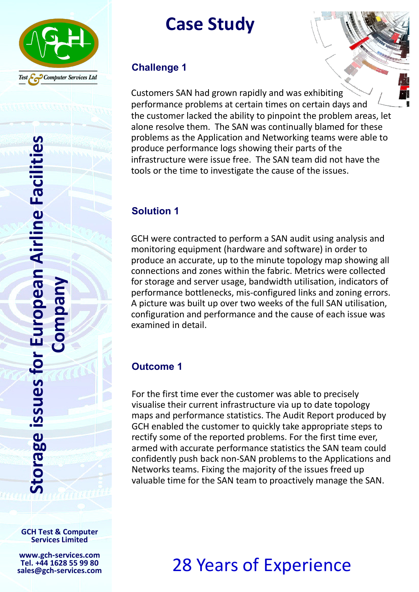

Case Study

#### Challenge 1

Customers SAN had grown rapidly and was exhibiting performance problems at certain times on certain days and the customer lacked the ability to pinpoint the problem areas, let alone resolve them. The SAN was continually blamed for these problems as the Application and Networking teams were able to produce performance logs showing their parts of the infrastructure were issue free. The SAN team did not have the tools or the time to investigate the cause of the issues.

### Solution 1

GCH were contracted to perform a SAN audit using analysis and monitoring equipment (hardware and software) in order to produce an accurate, up to the minute topology map showing all connections and zones within the fabric. Metrics were collected for storage and server usage, bandwidth utilisation, indicators of performance bottlenecks, mis-configured links and zoning errors. A picture was built up over two weeks of the full SAN utilisation, configuration and performance and the cause of each issue was examined in detail.

### Outcome 1

For the first time ever the customer was able to precisely visualise their current infrastructure via up to date topology maps and performance statistics. The Audit Report produced by GCH enabled the customer to quickly take appropriate steps to rectify some of the reported problems. For the first time ever, armed with accurate performance statistics the SAN team could confidently push back non-SAN problems to the Applications and Networks teams. Fixing the majority of the issues freed up valuable time for the SAN team to proactively manage the SAN.

# 28 Years of Experience

GCH Test & Computer Services Limited

www.gch-services.com Tel. +44 1628 55 99 80 sales@gch-services.com